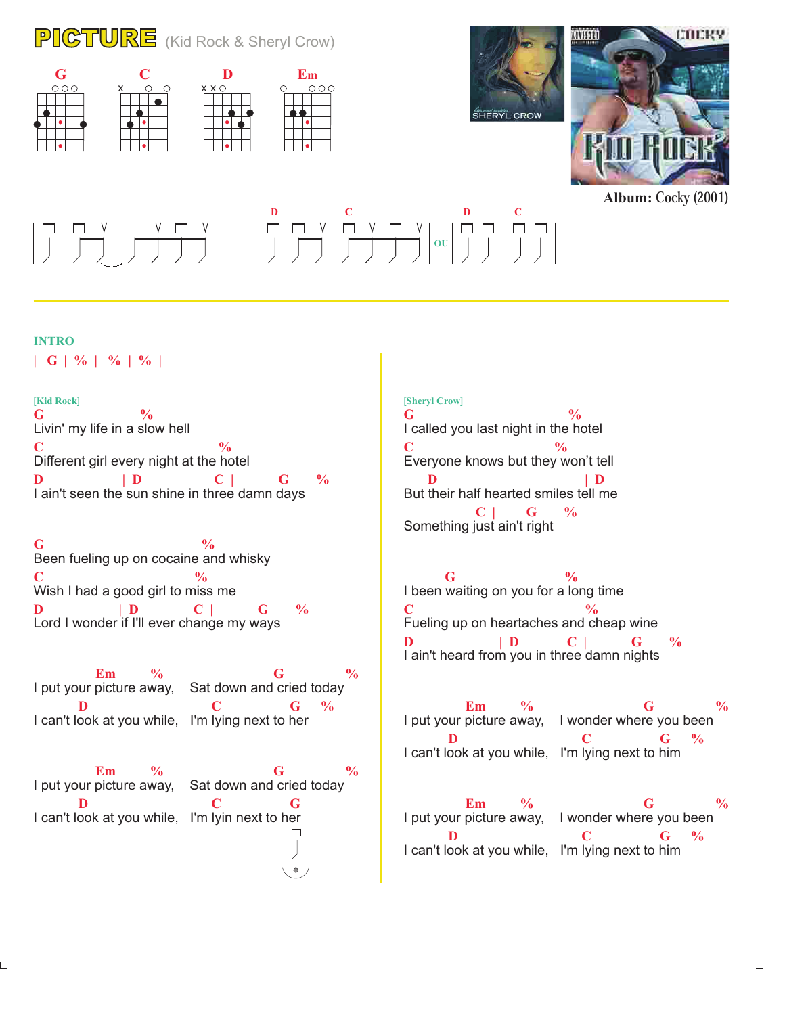## PICTURE (Kid Rock & Sheryl Crow)







**Album:** Cocky (2001)

# **D** C D C **OU**

#### **INTRO**

**| G | % | % | % |**

Livin' my life in a slow hell Different girl every night at the hotel I ain't seen the sun shine in three damn days **G % C**  $\frac{0}{6}$ **D** | **D** C | G % [**Kid Rock**]

Been fueling up on cocaine and whisky Wish I had a good girl to miss me Lord I wonder if I'll ever change my ways **G**  $\frac{9}{6}$ **C**  $\frac{9}{6}$ **D | D C | G %**

I put your picture away, Sat down and cried today I can't look at you while, I'm lying next to her **Em**  $\%$  **G**  $\%$ **D C G**  $\%$ 

**Em**  $\%$  **G**  $\%$ I put your picture away, Sat down and cried today **D C G** I can't look at you while, I'm lyin next to her  $\Box$  $\bullet$ 

#### [**Sheryl Crow**]

I called you last night in the hotel Everyone knows but they won't tell But their half hearted smiles tell me Something just ain't right **G**  $\frac{9}{6}$ **C**  $\frac{0}{6}$ **D** | **D C | G %**

I been waiting on you for a long time Fueling up on heartaches and cheap wine I ain't heard from you in three damn nights **G**  $\frac{9}{6}$ **C**  $\frac{0}{6}$ **D** | **D** C | G %

I put your picture away, I wonder where you been I can't look at you while, I'm lying next to him **Em**  $\%$  **G**  $\%$ **D C G**  $\frac{9}{6}$ 

I put your picture away, I wonder where you been I can't look at you while, I'm lying next to him **Em**  $\%$  **G**  $\%$ **D C G**  $\%$